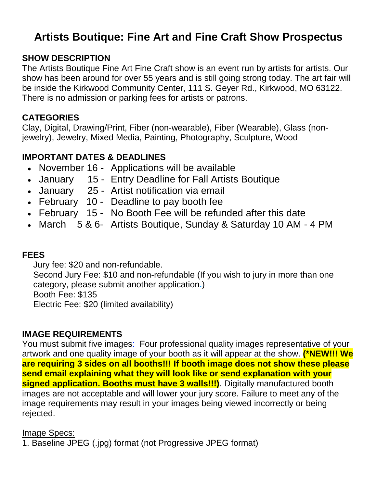# **Artists Boutique: Fine Art and Fine Craft Show Prospectus**

## **SHOW DESCRIPTION**

The Artists Boutique Fine Art Fine Craft show is an event run by artists for artists. Our show has been around for over 55 years and is still going strong today. The art fair will be inside the Kirkwood Community Center, 111 S. Geyer Rd., Kirkwood, MO 63122. There is no admission or parking fees for artists or patrons.

## **CATEGORIES**

Clay, Digital, Drawing/Print, Fiber (non-wearable), Fiber (Wearable), Glass (nonjewelry), Jewelry, Mixed Media, Painting, Photography, Sculpture, Wood

## **IMPORTANT DATES & DEADLINES**

- November 16 Applications will be available
- January 15 Entry Deadline for Fall Artists Boutique
- January 25 Artist notification via email
- February 10 Deadline to pay booth fee
- February 15 No Booth Fee will be refunded after this date
- March 5 & 6- Artists Boutique, Sunday & Saturday 10 AM 4 PM

### **FEES**

 Jury fee: \$20 and non-refundable. Second Jury Fee: \$10 and non-refundable (If you wish to jury in more than one category, please submit another application**.**) Booth Fee: \$135 Electric Fee: \$20 (limited availability)

### **IMAGE REQUIREMENTS**

You must submit five images: Four professional quality images representative of your artwork and one quality image of your booth as it will appear at the show. **(\*NEW!!! We are requiring 3 sides on all booths!!! If booth image does not show these please send email explaining what they will look like or send explanation with your signed application. Booths must have 3 walls!!!)**. Digitally manufactured booth images are not acceptable and will lower your jury score. Failure to meet any of the image requirements may result in your images being viewed incorrectly or being rejected.

### **Image Specs:**

1. Baseline JPEG (.jpg) format (not Progressive JPEG format)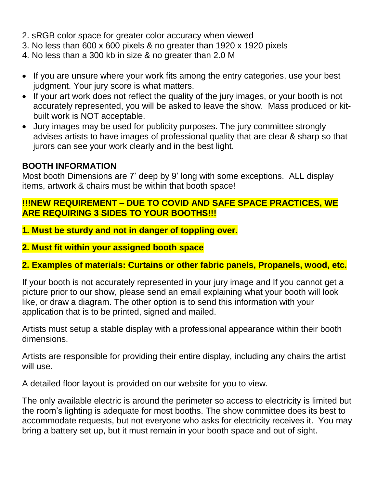- 2. sRGB color space for greater color accuracy when viewed
- 3. No less than 600 x 600 pixels & no greater than 1920 x 1920 pixels
- 4. No less than a 300 kb in size & no greater than 2.0 M
- If you are unsure where your work fits among the entry categories, use your best judgment. Your jury score is what matters.
- If your art work does not reflect the quality of the jury images, or your booth is not accurately represented, you will be asked to leave the show. Mass produced or kitbuilt work is NOT acceptable.
- Jury images may be used for publicity purposes. The jury committee strongly advises artists to have images of professional quality that are clear & sharp so that jurors can see your work clearly and in the best light.

#### **BOOTH INFORMATION**

Most booth Dimensions are 7' deep by 9' long with some exceptions. ALL display items, artwork & chairs must be within that booth space!

#### **!!!NEW REQUIREMENT – DUE TO COVID AND SAFE SPACE PRACTICES, WE ARE REQUIRING 3 SIDES TO YOUR BOOTHS!!!**

- **1. Must be sturdy and not in danger of toppling over.**
- **2. Must fit within your assigned booth space**

### **2. Examples of materials: Curtains or other fabric panels, Propanels, wood, etc.**

If your booth is not accurately represented in your jury image and If you cannot get a picture prior to our show, please send an email explaining what your booth will look like, or draw a diagram. The other option is to send this information with your application that is to be printed, signed and mailed.

Artists must setup a stable display with a professional appearance within their booth dimensions.

Artists are responsible for providing their entire display, including any chairs the artist will use.

A detailed floor layout is provided on our website for you to view.

The only available electric is around the perimeter so access to electricity is limited but the room's lighting is adequate for most booths. The show committee does its best to accommodate requests, but not everyone who asks for electricity receives it. You may bring a battery set up, but it must remain in your booth space and out of sight.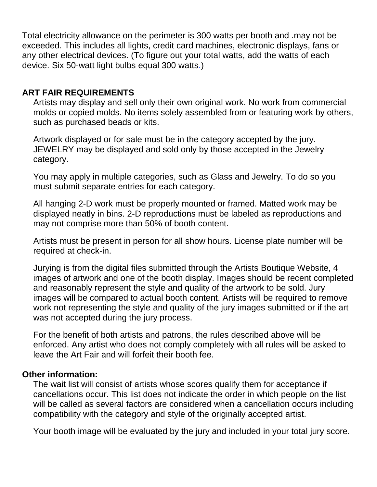Total electricity allowance on the perimeter is 300 watts per booth and .may not be exceeded. This includes all lights, credit card machines, electronic displays, fans or any other electrical devices. (To figure out your total watts, add the watts of each device. Six 50-watt light bulbs equal 300 watts.)

#### **ART FAIR REQUIREMENTS**

 Artists may display and sell only their own original work. No work from commercial molds or copied molds. No items solely assembled from or featuring work by others, such as purchased beads or kits.

 Artwork displayed or for sale must be in the category accepted by the jury. JEWELRY may be displayed and sold only by those accepted in the Jewelry category.

 You may apply in multiple categories, such as Glass and Jewelry. To do so you must submit separate entries for each category.

 All hanging 2-D work must be properly mounted or framed. Matted work may be displayed neatly in bins. 2-D reproductions must be labeled as reproductions and may not comprise more than 50% of booth content.

 Artists must be present in person for all show hours. License plate number will be required at check-in.

 Jurying is from the digital files submitted through the Artists Boutique Website, 4 images of artwork and one of the booth display. Images should be recent completed and reasonably represent the style and quality of the artwork to be sold. Jury images will be compared to actual booth content. Artists will be required to remove work not representing the style and quality of the jury images submitted or if the art was not accepted during the jury process.

 For the benefit of both artists and patrons, the rules described above will be enforced. Any artist who does not comply completely with all rules will be asked to leave the Art Fair and will forfeit their booth fee.

#### **Other information:**

 The wait list will consist of artists whose scores qualify them for acceptance if cancellations occur. This list does not indicate the order in which people on the list will be called as several factors are considered when a cancellation occurs including compatibility with the category and style of the originally accepted artist.

Your booth image will be evaluated by the jury and included in your total jury score.